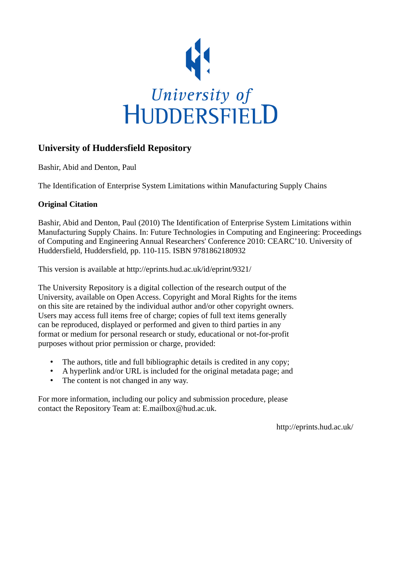

# **University of Huddersfield Repository**

Bashir, Abid and Denton, Paul

The Identification of Enterprise System Limitations within Manufacturing Supply Chains

# **Original Citation**

Bashir, Abid and Denton, Paul (2010) The Identification of Enterprise System Limitations within Manufacturing Supply Chains. In: Future Technologies in Computing and Engineering: Proceedings of Computing and Engineering Annual Researchers' Conference 2010: CEARC'10. University of Huddersfield, Huddersfield, pp. 110-115. ISBN 9781862180932

This version is available at http://eprints.hud.ac.uk/id/eprint/9321/

The University Repository is a digital collection of the research output of the University, available on Open Access. Copyright and Moral Rights for the items on this site are retained by the individual author and/or other copyright owners. Users may access full items free of charge; copies of full text items generally can be reproduced, displayed or performed and given to third parties in any format or medium for personal research or study, educational or not-for-profit purposes without prior permission or charge, provided:

- The authors, title and full bibliographic details is credited in any copy;
- A hyperlink and/or URL is included for the original metadata page; and
- The content is not changed in any way.

For more information, including our policy and submission procedure, please contact the Repository Team at: E.mailbox@hud.ac.uk.

http://eprints.hud.ac.uk/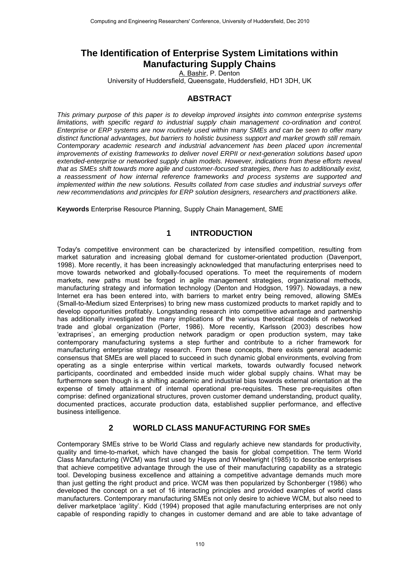# **The Identification of Enterprise System Limitations within Manufacturing Supply Chains**

A. Bashir, P. Denton

University of Huddersfield, Queensgate, Huddersfield, HD1 3DH, UK

### **ABSTRACT**

*This primary purpose of this paper is to develop improved insights into common enterprise systems limitations, with specific regard to industrial supply chain management co-ordination and control. Enterprise or ERP systems are now routinely used within many SMEs and can be seen to offer many distinct functional advantages, but barriers to holistic business support and market growth still remain. Contemporary academic research and industrial advancement has been placed upon incremental improvements of existing frameworks to deliver novel ERPII or next-generation solutions based upon extended-enterprise or networked supply chain models. However, indications from these efforts reveal that as SMEs shift towards more agile and customer-focused strategies, there has to additionally exist, a reassessment of how internal reference frameworks and process systems are supported and implemented within the new solutions. Results collated from case studies and industrial surveys offer new recommendations and principles for ERP solution designers, researchers and practitioners alike.* 

**Keywords** Enterprise Resource Planning, Supply Chain Management, SME

## **1 INTRODUCTION**

Today's competitive environment can be characterized by intensified competition, resulting from market saturation and increasing global demand for customer-orientated production (Davenport, 1998). More recently, it has been increasingly acknowledged that manufacturing enterprises need to move towards networked and globally-focused operations. To meet the requirements of modern markets, new paths must be forged in agile management strategies, organizational methods, manufacturing strategy and information technology (Denton and Hodgson, 1997). Nowadays, a new Internet era has been entered into, with barriers to market entry being removed, allowing SMEs (Small-to-Medium sized Enterprises) to bring new mass customized products to market rapidly and to develop opportunities profitably. Longstanding research into competitive advantage and partnership has additionally investigated the many implications of the various theoretical models of networked trade and global organization (Porter, 1986). More recently, Karlsson (2003) describes how 'extraprises', an emerging production network paradigm or open production system, may take contemporary manufacturing systems a step further and contribute to a richer framework for manufacturing enterprise strategy research. From these concepts, there exists general academic consensus that SMEs are well placed to succeed in such dynamic global environments, evolving from operating as a single enterprise within vertical markets, towards outwardly focused network participants, coordinated and embedded inside much wider global supply chains. What may be furthermore seen though is a shifting academic and industrial bias towards external orientation at the expense of timely attainment of internal operational pre-requisites. These pre-requisites often comprise: defined organizational structures, proven customer demand understanding, product quality, documented practices, accurate production data, established supplier performance, and effective business intelligence.

### **2 WORLD CLASS MANUFACTURING FOR SMEs**

Contemporary SMEs strive to be World Class and regularly achieve new standards for productivity, quality and time-to-market, which have changed the basis for global competition. The term World Class Manufacturing (WCM) was first used by Hayes and Wheelwright (1985) to describe enterprises that achieve competitive advantage through the use of their manufacturing capability as a strategic tool. Developing business excellence and attaining a competitive advantage demands much more than just getting the right product and price. WCM was then popularized by Schonberger (1986) who developed the concept on a set of 16 interacting principles and provided examples of world class manufacturers. Contemporary manufacturing SMEs not only desire to achieve WCM, but also need to deliver marketplace 'agility'. Kidd (1994) proposed that agile manufacturing enterprises are not only capable of responding rapidly to changes in customer demand and are able to take advantage of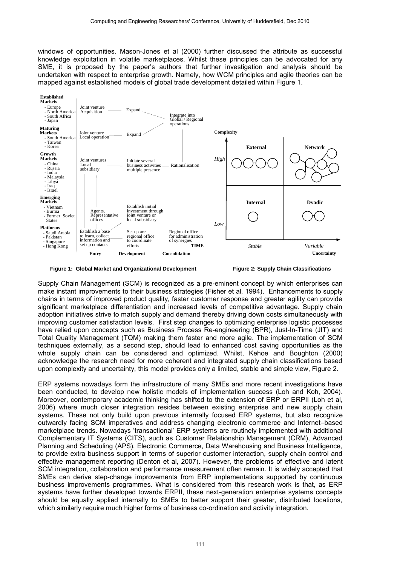windows of opportunities. Mason-Jones et al (2000) further discussed the attribute as successful knowledge exploitation in volatile marketplaces. Whilst these principles can be advocated for any SME, it is proposed by the paper's authors that further investigation and analysis should be undertaken with respect to enterprise growth. Namely, how WCM principles and agile theories can be mapped against established models of global trade development detailed within Figure 1.



**Figure 1: Global Market and Organizational Development Figure 2: Supply Chain Classifications** 

Supply Chain Management (SCM) is recognized as a pre-eminent concept by which enterprises can make instant improvements to their business strategies (Fisher et al, 1994). Enhancements to supply chains in terms of improved product quality, faster customer response and greater agility can provide significant marketplace differentiation and increased levels of competitive advantage. Supply chain adoption initiatives strive to match supply and demand thereby driving down costs simultaneously with improving customer satisfaction levels. First step changes to optimizing enterprise logistic processes have relied upon concepts such as Business Process Re-engineering (BPR), Just-In-Time (JIT) and Total Quality Management (TQM) making them faster and more agile. The implementation of SCM techniques externally, as a second step, should lead to enhanced cost saving opportunities as the whole supply chain can be considered and optimized. Whilst, Kehoe and Boughton (2000) acknowledge the research need for more coherent and integrated supply chain classifications based upon complexity and uncertainty, this model provides only a limited, stable and simple view, Figure 2.

ERP systems nowadays form the infrastructure of many SMEs and more recent investigations have been conducted, to develop new holistic models of implementation success (Loh and Koh, 2004). Moreover, contemporary academic thinking has shifted to the extension of ERP or ERPII (Loh et al, 2006) where much closer integration resides between existing enterprise and new supply chain systems. These not only build upon previous internally focused ERP systems, but also recognize outwardly facing SCM imperatives and address changing electronic commerce and Internet–based marketplace trends. Nowadays 'transactional' ERP systems are routinely implemented with additional Complementary IT Systems (CITS), such as Customer Relationship Management (CRM), Advanced Planning and Scheduling (APS), Electronic Commerce, Data Warehousing and Business Intelligence, to provide extra business support in terms of superior customer interaction, supply chain control and effective management reporting (Denton et al, 2007). However, the problems of effective and latent SCM integration, collaboration and performance measurement often remain. It is widely accepted that SMEs can derive step-change improvements from ERP implementations supported by continuous business improvements programmes. What is considered from this research work is that, as ERP systems have further developed towards ERPII, these next-generation enterprise systems concepts should be equally applied internally to SMEs to better support their greater, distributed locations, which similarly require much higher forms of business co-ordination and activity integration.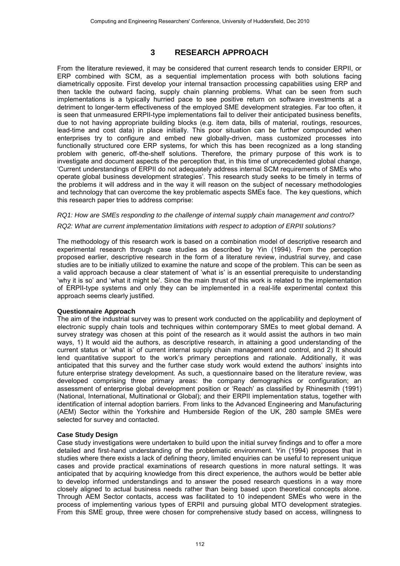# **3 RESEARCH APPROACH**

From the literature reviewed, it may be considered that current research tends to consider ERPII, or ERP combined with SCM, as a sequential implementation process with both solutions facing diametrically opposite. First develop your internal transaction processing capabilities using ERP and then tackle the outward facing, supply chain planning problems. What can be seen from such implementations is a typically hurried pace to see positive return on software investments at a detriment to longer-term effectiveness of the employed SME development strategies. Far too often, it is seen that unmeasured ERPII-type implementations fail to deliver their anticipated business benefits, due to not having appropriate building blocks (e.g. item data, bills of material, routings, resources, lead-time and cost data) in place initially. This poor situation can be further compounded when enterprises try to configure and embed new globally-driven, mass customized processes into functionally structured core ERP systems, for which this has been recognized as a long standing problem with generic, off-the-shelf solutions. Therefore, the primary purpose of this work is to investigate and document aspects of the perception that, in this time of unprecedented global change, 'Current understandings of ERPII do not adequately address internal SCM requirements of SMEs who operate global business development strategies'. This research study seeks to be timely in terms of the problems it will address and in the way it will reason on the subject of necessary methodologies and technology that can overcome the key problematic aspects SMEs face. The key questions, which this research paper tries to address comprise:

### *RQ1: How are SMEs responding to the challenge of internal supply chain management and control? RQ2: What are current implementation limitations with respect to adoption of ERPII solutions?*

The methodology of this research work is based on a combination model of descriptive research and experimental research through case studies as described by Yin (1994). From the perception proposed earlier, descriptive research in the form of a literature review, industrial survey, and case studies are to be initially utilized to examine the nature and scope of the problem. This can be seen as a valid approach because a clear statement of 'what is' is an essential prerequisite to understanding 'why it is so' and 'what it might be'. Since the main thrust of this work is related to the implementation of ERPII-type systems and only they can be implemented in a real-life experimental context this approach seems clearly justified.

#### **Questionnaire Approach**

The aim of the industrial survey was to present work conducted on the applicability and deployment of electronic supply chain tools and techniques within contemporary SMEs to meet global demand. A survey strategy was chosen at this point of the research as it would assist the authors in two main ways, 1) It would aid the authors, as descriptive research, in attaining a good understanding of the current status or 'what is' of current internal supply chain management and control, and 2) It should lend quantitative support to the work's primary perceptions and rationale. Additionally, it was anticipated that this survey and the further case study work would extend the authors' insights into future enterprise strategy development. As such, a questionnaire based on the literature review, was developed comprising three primary areas: the company demographics or configuration; an assessment of enterprise global development position or 'Reach' as classified by Rhinesmith (1991) (National, International, Multinational or Global); and their ERPII implementation status, together with identification of internal adoption barriers. From links to the Advanced Engineering and Manufacturing (AEM) Sector within the Yorkshire and Humberside Region of the UK, 280 sample SMEs were selected for survey and contacted.

#### **Case Study Design**

Case study investigations were undertaken to build upon the initial survey findings and to offer a more detailed and first-hand understanding of the problematic environment. Yin (1994) proposes that in studies where there exists a lack of defining theory, limited enquiries can be useful to represent unique cases and provide practical examinations of research questions in more natural settings. It was anticipated that by acquiring knowledge from this direct experience, the authors would be better able to develop informed understandings and to answer the posed research questions in a way more closely aligned to actual business needs rather than being based upon theoretical concepts alone. Through AEM Sector contacts, access was facilitated to 10 independent SMEs who were in the process of implementing various types of ERPII and pursuing global MTO development strategies. From this SME group, three were chosen for comprehensive study based on access, willingness to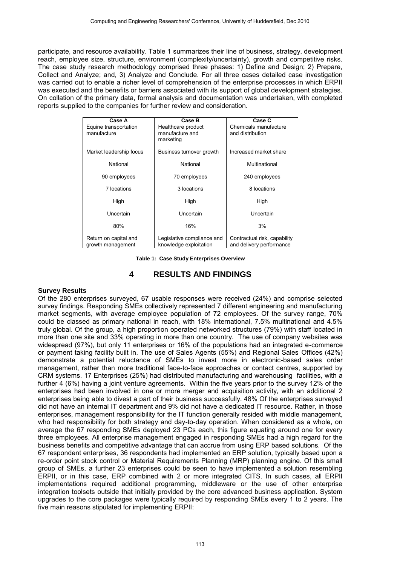participate, and resource availability. Table 1 summarizes their line of business, strategy, development reach, employee size, structure, environment (complexity/uncertainty), growth and competitive risks. The case study research methodology comprised three phases: 1) Define and Design; 2) Prepare, Collect and Analyze; and, 3) Analyze and Conclude. For all three cases detailed case investigation was carried out to enable a richer level of comprehension of the enterprise processes in which ERPII was executed and the benefits or barriers associated with its support of global development strategies. On collation of the primary data, formal analysis and documentation was undertaken, with completed reports supplied to the companies for further review and consideration.

| Case A                                     | Case B                                               | Case C                                                   |
|--------------------------------------------|------------------------------------------------------|----------------------------------------------------------|
| Equine transportation<br>manufacture       | Healthcare product<br>manufacture and<br>marketing   | Chemicals manufacture<br>and distribution                |
| Market leadership focus                    | Business turnover growth                             | Increased market share                                   |
| National                                   | National                                             | Multinational                                            |
| 90 employees                               | 70 employees                                         | 240 employees                                            |
| 7 locations                                | 3 locations                                          | 8 locations                                              |
| High                                       | High                                                 | High                                                     |
| Uncertain                                  | Uncertain                                            | Uncertain                                                |
| 80%                                        | 16%                                                  | 3%                                                       |
| Return on capital and<br>growth management | Legislative compliance and<br>knowledge exploitation | Contractual risk, capability<br>and delivery performance |

**Table 1: Case Study Enterprises Overview**

#### **4 RESULTS AND FINDINGS**

#### **Survey Results**

Of the 280 enterprises surveyed, 67 usable responses were received (24%) and comprise selected survey findings. Responding SMEs collectively represented 7 different engineering and manufacturing market segments, with average employee population of 72 employees. Of the survey range, 70% could be classed as primary national in reach, with 18% international, 7.5% multinational and 4.5% truly global. Of the group, a high proportion operated networked structures (79%) with staff located in more than one site and 33% operating in more than one country. The use of company websites was widespread (97%), but only 11 enterprises or 16% of the populations had an integrated e-commerce or payment taking facility built in. The use of Sales Agents (55%) and Regional Sales Offices (42%) demonstrate a potential reluctance of SMEs to invest more in electronic-based sales order management, rather than more traditional face-to-face approaches or contact centres, supported by CRM systems. 17 Enterprises (25%) had distributed manufacturing and warehousing facilities, with a further 4 (6%) having a joint venture agreements. Within the five years prior to the survey 12% of the enterprises had been involved in one or more merger and acquisition activity, with an additional 2 enterprises being able to divest a part of their business successfully. 48% Of the enterprises surveyed did not have an internal IT department and 9% did not have a dedicated IT resource. Rather, in those enterprises, management responsibility for the IT function generally resided with middle management, who had responsibility for both strategy and day-to-day operation. When considered as a whole, on average the 67 responding SMEs deployed 23 PCs each, this figure equating around one for every three employees. All enterprise management engaged in responding SMEs had a high regard for the business benefits and competitive advantage that can accrue from using ERP based solutions. Of the 67 respondent enterprises, 36 respondents had implemented an ERP solution, typically based upon a re-order point stock control or Material Requirements Planning (MRP) planning engine. Of this small group of SMEs, a further 23 enterprises could be seen to have implemented a solution resembling ERPII, or in this case, ERP combined with 2 or more integrated CITS. In such cases, all ERPII implementations required additional programming, middleware or the use of other enterprise integration toolsets outside that initially provided by the core advanced business application. System upgrades to the core packages were typically required by responding SMEs every 1 to 2 years. The five main reasons stipulated for implementing ERPII: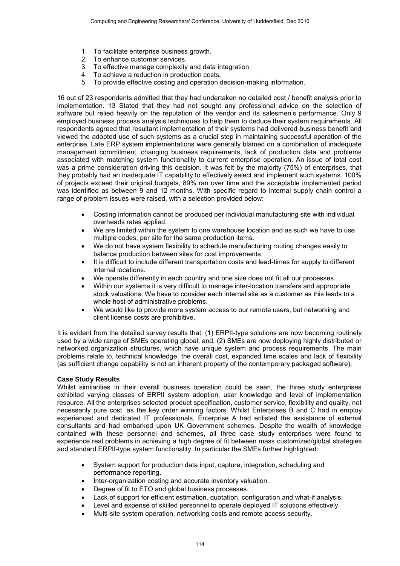- 1. To facilitate enterprise business growth.
- 2. To enhance customer services.
- 3. To effective manage complexity and data integration.
- 4. To achieve a reduction in production costs,
- 5. To provide effective costing and operation decision-making information.

16 out of 23 respondents admitted that they had undertaken no detailed cost / benefit analysis prior to implementation. 13 Stated that they had not sought any professional advice on the selection of software but relied heavily on the reputation of the vendor and its salesmen's performance. Only 9 employed business process analysis techniques to help them to deduce their system requirements. All respondents agreed that resultant implementation of their systems had delivered business benefit and viewed the adopted use of such systems as a crucial step in maintaining successful operation of the enterprise. Late ERP system implementations were generally blamed on a combination of inadequate management commitment, changing business requirements, lack of production data and problems associated with matching system functionality to current enterprise operation. An issue of total cost was a prime consideration driving this decision. It was felt by the majority (75%) of enterprises, that they probably had an inadequate IT capability to effectively select and implement such systems. 100% of projects exceed their original budgets, 89% ran over time and the acceptable implemented period was identified as between 9 and 12 months. With specific regard to internal supply chain control a range of problem issues were raised, with a selection provided below:

- Costing information cannot be produced per individual manufacturing site with individual overheads rates applied.
- We are limited within the system to one warehouse location and as such we have to use multiple codes, per site for the same production items.
- We do not have system flexibility to schedule manufacturing routing changes easily to balance production between sites for cost improvements.
- It is difficult to include different transportation costs and lead-times for supply to different internal locations.
- We operate differently in each country and one size does not fit all our processes.
- Within our systems it is very difficult to manage inter-location transfers and appropriate stock valuations. We have to consider each internal site as a customer as this leads to a whole host of administrative problems.
- We would like to provide more system access to our remote users, but networking and client license costs are prohibitive.

It is evident from the detailed survey results that: (1) ERPII-type solutions are now becoming routinely used by a wide range of SMEs operating global; and, (2) SMEs are now deploying highly distributed or networked organization structures, which have unique system and process requirements. The main problems relate to, technical knowledge, the overall cost, expanded time scales and lack of flexibility (as sufficient change capability is not an inherent property of the contemporary packaged software).

#### **Case Study Results**

Whilst similarities in their overall business operation could be seen, the three study enterprises exhibited varying classes of ERPII system adoption, user knowledge and level of implementation resource. All the enterprises selected product specification, customer service, flexibility and quality, not necessarily pure cost, as the key order winning factors. Whilst Enterprises B and C had in employ experienced and dedicated IT professionals, Enterprise A had enlisted the assistance of external consultants and had embarked upon UK Government schemes. Despite the wealth of knowledge contained with these personnel and schemes, all three case study enterprises were found to experience real problems in achieving a high degree of fit between mass customized/global strategies and standard ERPII-type system functionality. In particular the SMEs further highlighted:

- System support for production data input, capture, integration, scheduling and performance reporting.
- Inter-organization costing and accurate inventory valuation.
- Degree of fit to ETO and global business processes.
- Lack of support for efficient estimation, quotation, configuration and what-if analysis.
- Level and expense of skilled personnel to operate deployed IT solutions effectively.
- Multi-site system operation, networking costs and remote access security.